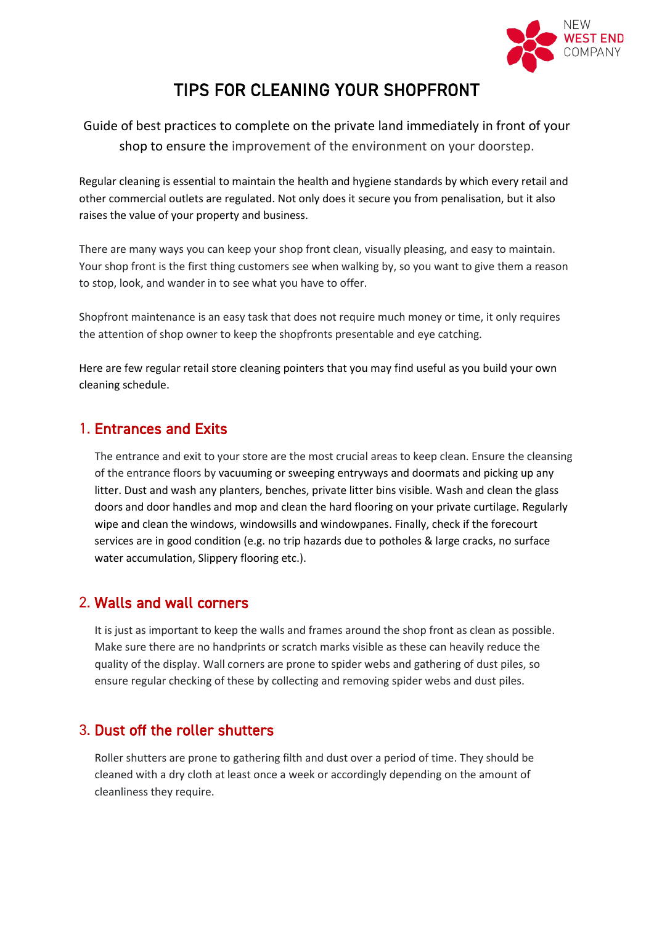

# TIPS FOR CLEANING YOUR SHOPFRONT

Guide of best practices to complete on the private land immediately in front of your shop to ensure the improvement of the environment on your doorstep.

Regular cleaning is essential to maintain the health and hygiene standards by which every retail and other commercial outlets are regulated. Not only does it secure you from penalisation, but it also raises the value of your property and business.

There are many ways you can keep your shop front clean, visually pleasing, and easy to maintain. Your shop front is the first thing customers see when walking by, so you want to give them a reason to stop, look, and wander in to see what you have to offer.

Shopfront maintenance is an easy task that does not require much money or time, it only requires the attention of shop owner to keep the shopfronts presentable and eye catching.

Here are few regular retail store cleaning pointers that you may find useful as you build your own cleaning schedule.

#### 1. Entrances and Exits

The entrance and exit to your store are the most crucial areas to keep clean. Ensure the cleansing of the entrance floors by vacuuming or sweeping entryways and doormats and picking up any litter. Dust and wash any planters, benches, private litter bins visible. Wash and clean the glass doors and door handles and mop and clean the hard flooring on your private curtilage. Regularly wipe and clean the windows, windowsills and windowpanes. Finally, check if the forecourt services are in good condition (e.g. no trip hazards due to potholes & large cracks, no surface water accumulation, Slippery flooring etc.).

#### 2. Walls and wall corners

It is just as important to keep the walls and frames around the shop front as clean as possible. Make sure there are no handprints or scratch marks visible as these can heavily reduce the quality of the display. Wall corners are prone to spider webs and gathering of dust piles, so ensure regular checking of these by collecting and removing spider webs and dust piles.

#### 3. Dust off the roller shutters

Roller shutters are prone to gathering filth and dust over a period of time. They should be cleaned with a dry cloth at least once a week or accordingly depending on the amount of cleanliness they require.